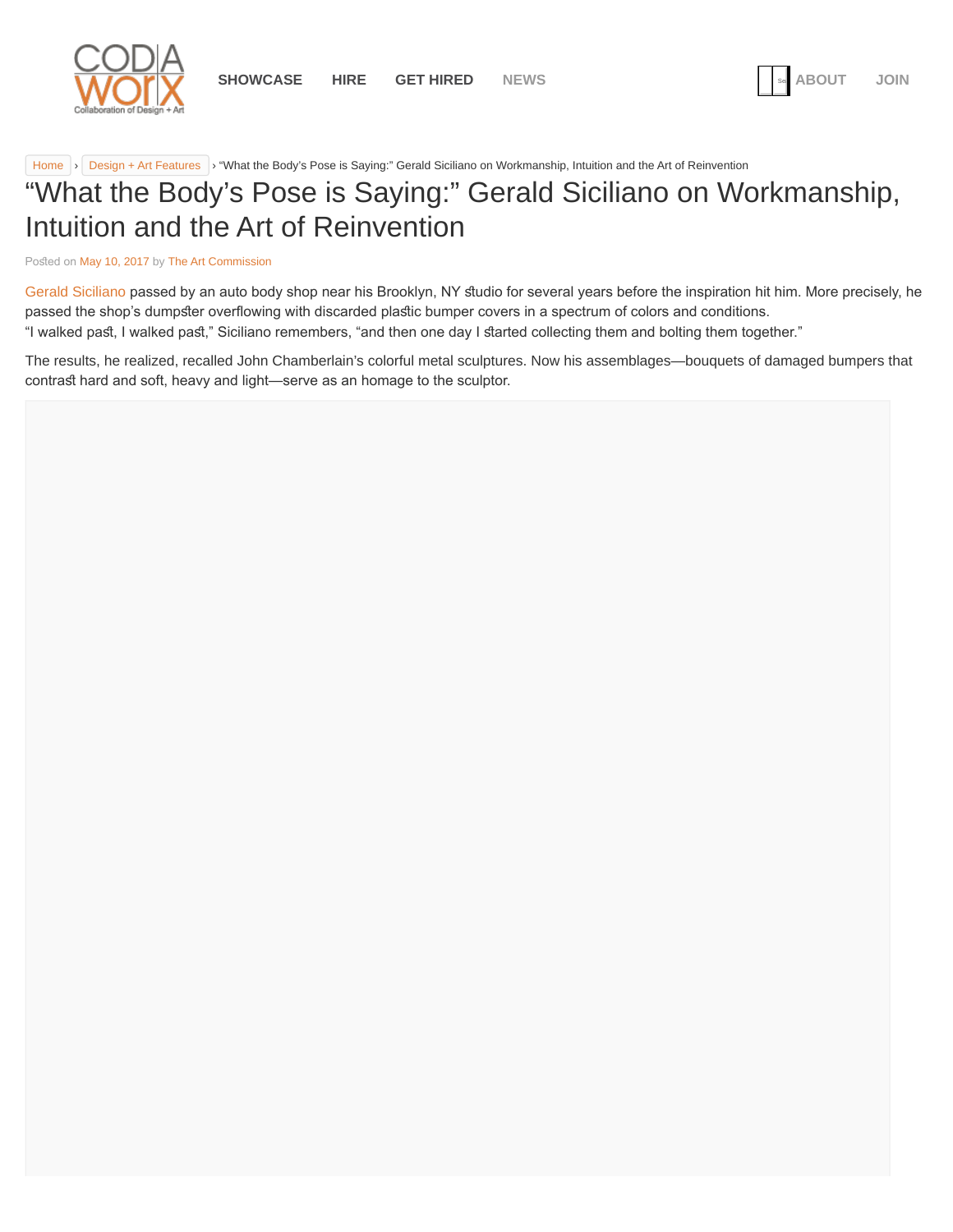<span id="page-0-0"></span>

[Home](https://www.codaworx.com/news/) > [Design + Art Features](https://www.codaworx.com/news/category/design-art-features/) > "What the Body's Pose is Saying:" Gerald Siciliano on Workmanship, Intuition and the Art of Reinvention

# "What the Body's Pose is Saying:" Gerald Siciliano on Workmanship, Intuition and the Art of Reinvention

Posted on [May 10, 2017](#page-0-0) by [The Art Commission](https://www.codaworx.com/news/author/tac/)

[Gerald Siciliano](http://geraldsicilianostudio.com/) passed by an auto body shop near his Brooklyn, NY studio for several years before the inspiration hit him. More precisely, he passed the shop's dumpster overflowing with discarded plastic bumper covers in a spectrum of colors and conditions. "I walked past, I walked past," Siciliano remembers, "and then one day I started collecting them and bolting them together."

The results, he realized, recalled John Chamberlain's colorful metal sculptures. Now his assemblages—bouquets of damaged bumpers that contrast hard and soft, heavy and light—serve as an homage to the sculptor.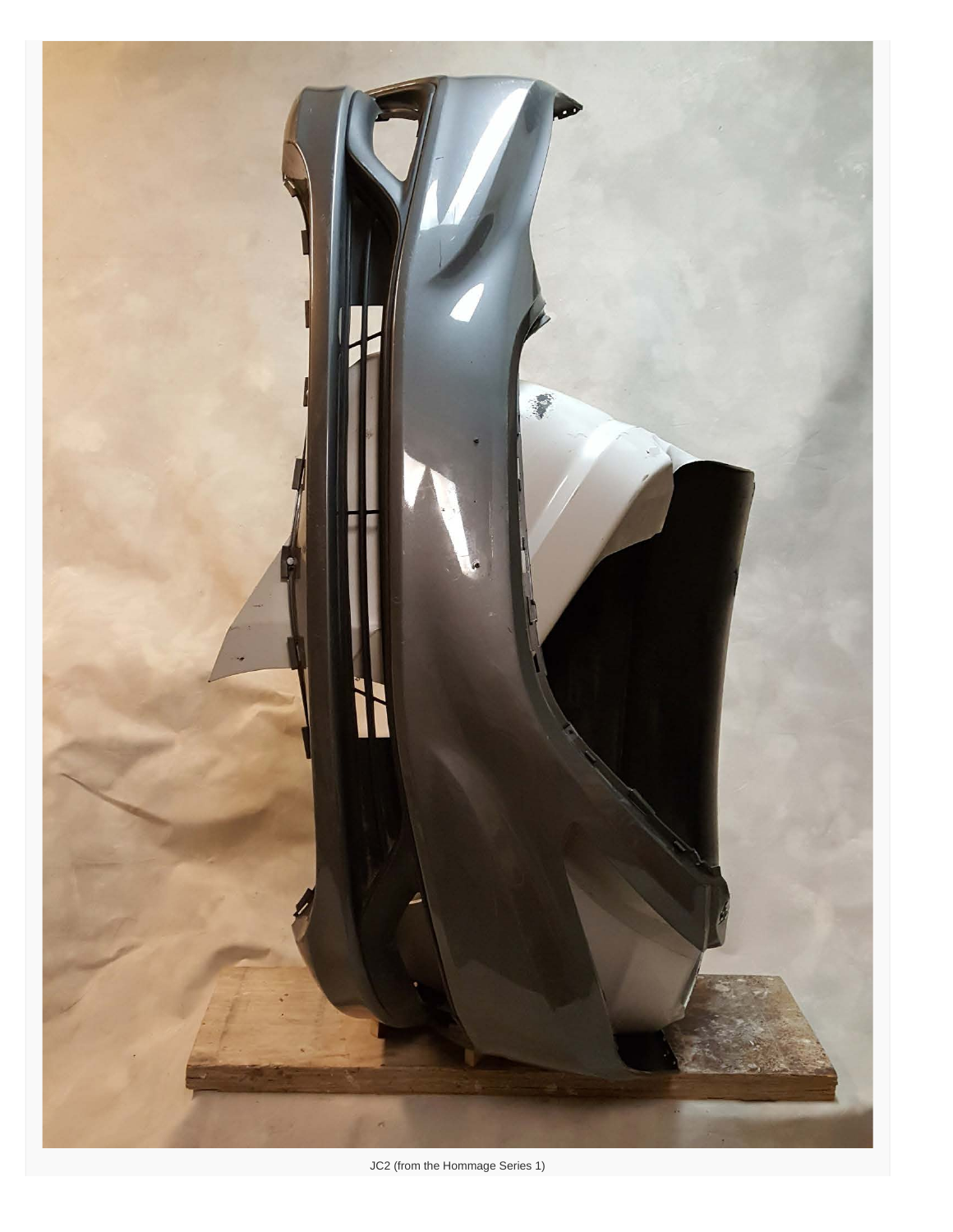

JC2 (from the Hommage Series 1)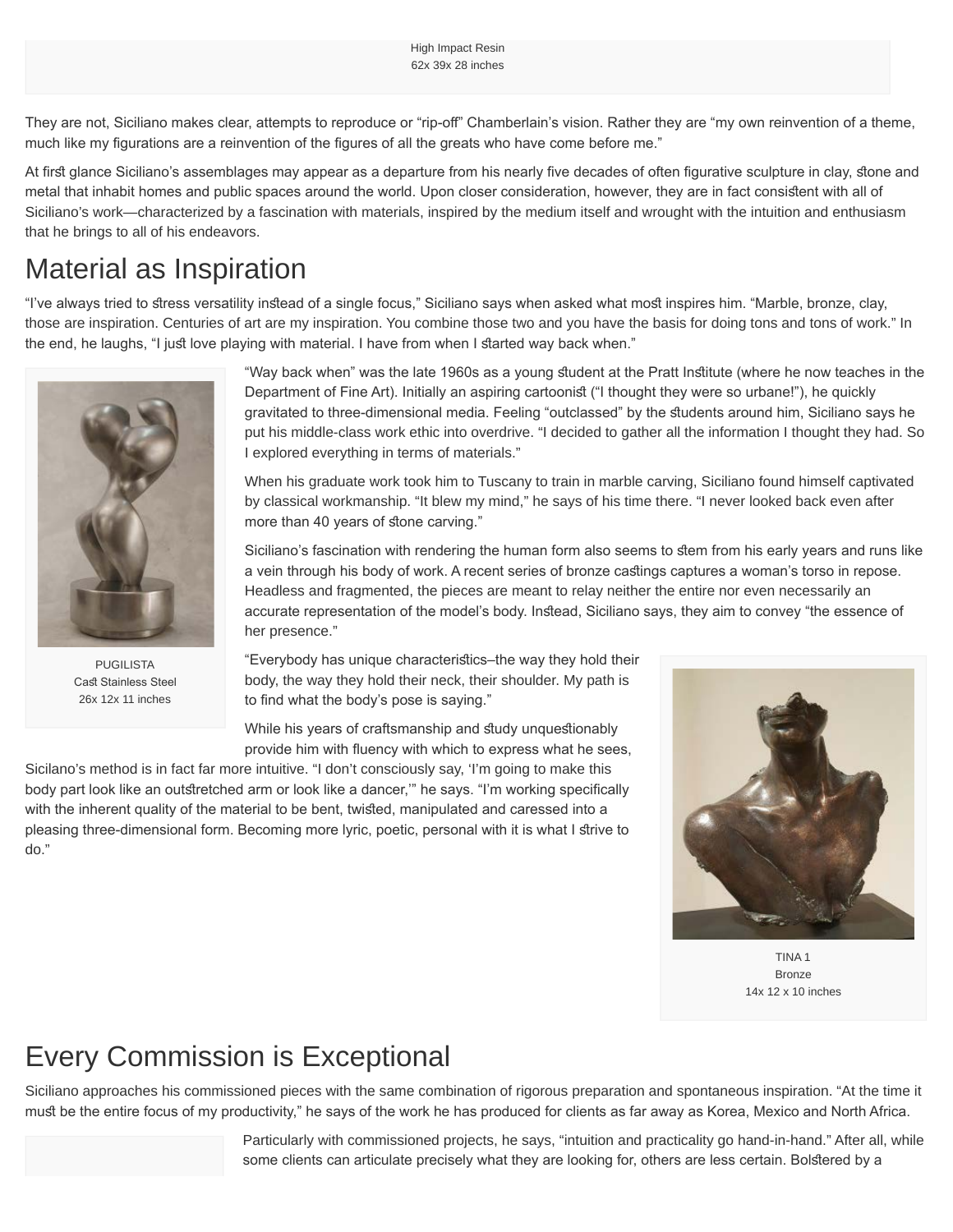They are not, Siciliano makes clear, attempts to reproduce or "rip-of" Chamberlain's vision. Rather they are "my own reinvention of a theme, much like my fgurations are a reinvention of the fgures of all the greats who have come before me."

At first glance Siciliano's assemblages may appear as a departure from his nearly five decades of often figurative sculpture in clay, stone and metal that inhabit homes and public spaces around the world. Upon closer consideration, however, they are in fact consisent with all of Siciliano's work—characterized by a fascination with materials, inspired by the medium itself and wrought with the intuition and enthusiasm that he brings to all of his endeavors.

# Material as Inspiration

"I've always tried to stress versatility instead of a single focus," Siciliano says when asked what most inspires him. "Marble, bronze, clay, those are inspiration. Centuries of art are my inspiration. You combine those two and you have the basis for doing tons and tons of work." In the end, he laughs, "I just love playing with material. I have from when I started way back when."



PUGILISTA Cast Stainless Steel 26x 12x 11 inches

"Way back when" was the late 1960s as a young student at the Pratt Institute (where he now teaches in the Department of Fine Art). Initially an aspiring cartoonist ("I thought they were so urbane!"), he quickly gravitated to three-dimensional media. Feeling "outclassed" by the sudents around him, Siciliano says he put his middle-class work ethic into overdrive. "I decided to gather all the information I thought they had. So I explored everything in terms of materials."

When his graduate work took him to Tuscany to train in marble carving, Siciliano found himself captivated by classical workmanship. "It blew my mind," he says of his time there. "I never looked back even after more than 40 years of stone carving."

Siciliano's fascination with rendering the human form also seems to stem from his early years and runs like a vein through his body of work. A recent series of bronze castings captures a woman's torso in repose. Headless and fragmented, the pieces are meant to relay neither the entire nor even necessarily an accurate representation of the model's body. Instead, Siciliano says, they aim to convey "the essence of her presence."

"Everybody has unique characterisics–the way they hold their body, the way they hold their neck, their shoulder. My path is to find what the body's pose is saying."

While his years of craftsmanship and study unquestionably provide him with fuency with which to express what he sees,

Sicilano's method is in fact far more intuitive. "I don't consciously say, 'I'm going to make this body part look like an outstretched arm or look like a dancer," he says. "I'm working specifically with the inherent quality of the material to be bent, twisted, manipulated and caressed into a pleasing three-dimensional form. Becoming more lyric, poetic, personal with it is what I strive to do."



TINA 1 Bronze 14x 12 x 10 inches

# Every Commission is Exceptional

Siciliano approaches his commissioned pieces with the same combination of rigorous preparation and spontaneous inspiration. "At the time it must be the entire focus of my productivity," he says of the work he has produced for clients as far away as Korea, Mexico and North Africa.

> Particularly with commissioned projects, he says, "intuition and practicality go hand-in-hand." After all, while some clients can articulate precisely what they are looking for, others are less certain. Bolstered by a